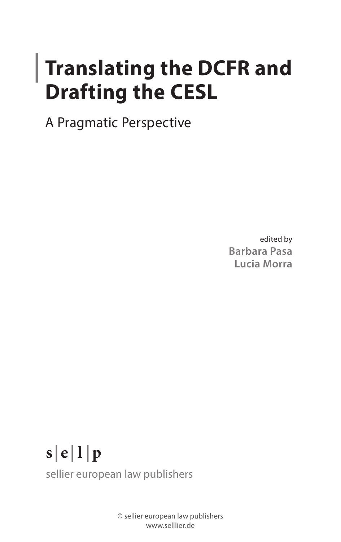## **| Translating the DCFR and Drafting the CESL**

A Pragmatic Perspective

edited by **Barbara Pasa Lucia Morra**

**s| e | l |p** sellier european law publishers

> © sellier european law publishers www.selllier.de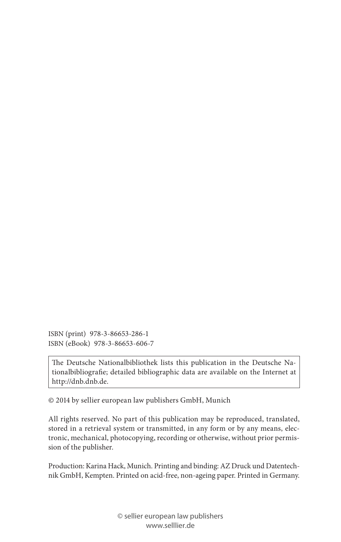ISBN (print) 978-3-86653-286-1 ISBN (eBook) 978-3-86653-606-7

The Deutsche Nationalbibliothek lists this publication in the Deutsche Nationalbibliografie; detailed bibliographic data are available on the Internet at http://dnb.dnb.de.

© 2014 by sellier european law publishers GmbH, Munich

All rights reserved. No part of this publication may be reproduced, translated, stored in a retrieval system or transmitted, in any form or by any means, electronic, mechanical, photocopying, recording or otherwise, without prior permission of the publisher.

Production: Karina Hack, Munich. Printing and binding: AZ Druck und Datentechnik GmbH, Kempten. Printed on acid-free, non-ageing paper. Printed in Germany.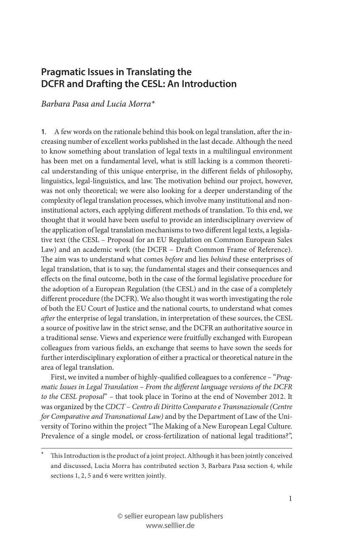## **Pragmatic Issues in Translating the DCFR and Drafting the CESL: An Introduction**

*Barbara Pasa and Lucia Morra\**<sup>1</sup>

**1.** A few words on the rationale behind this book on legal translation, after the increasing number of excellent works published in the last decade. Although the need to know something about translation of legal texts in a multilingual environment has been met on a fundamental level, what is still lacking is a common theoretical understanding of this unique enterprise, in the different fields of philosophy, linguistics, legal-linguistics, and law. The motivation behind our project, however, was not only theoretical; we were also looking for a deeper understanding of the complexity of legal translation processes, which involve many institutional and noninstitutional actors, each applying different methods of translation. To this end, we thought that it would have been useful to provide an interdisciplinary overview of the application of legal translation mechanisms to two different legal texts, a legislative text (the CESL – Proposal for an EU Regulation on Common European Sales Law) and an academic work (the DCFR – Draft Common Frame of Reference). The aim was to understand what comes *before* and lies *behind* these enterprises of legal translation, that is to say, the fundamental stages and their consequences and effects on the final outcome, both in the case of the formal legislative procedure for the adoption of a European Regulation (the CESL) and in the case of a completely different procedure (the DCFR). We also thought it was worth investigating the role of both the EU Court of Justice and the national courts, to understand what comes *after* the enterprise of legal translation, in interpretation of these sources, the CESL a source of positive law in the strict sense, and the DCFR an authoritative source in a traditional sense. Views and experience were fruitfully exchanged with European colleagues from various fields, an exchange that seems to have sown the seeds for further interdisciplinary exploration of either a practical or theoretical nature in the area of legal translation.

First, we invited a number of highly-qualified colleagues to a conference - "Prag*matic Issues in Legal Translation – From the different language versions of the DCFR to the CESL proposal*" – that took place in Torino at the end of November 2012. It was organized by the *CDCT* – *Centro di Diritto Comparato e Transnazionale (Centre for Comparative and Transnational Law)* and by the Department of Law of the University of Torino within the project "The Making of a New European Legal Culture. Prevalence of a single model, or cross-fertilization of national legal traditions?",

This Introduction is the product of a joint project. Although it has been jointly conceived and discussed, Lucia Morra has contributed section 3, Barbara Pasa section 4, while sections 1, 2, 5 and 6 were written jointly.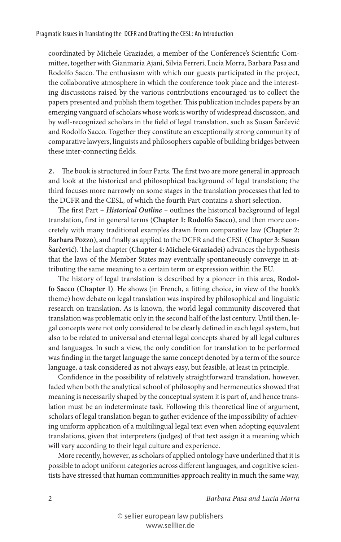coordinated by Michele Graziadei, a member of the Conference's Scientific Committee, together with Gianmaria Ajani, Silvia Ferreri, Lucia Morra, Barbara Pasa and Rodolfo Sacco. The enthusiasm with which our guests participated in the project, the collaborative atmosphere in which the conference took place and the interesting discussions raised by the various contributions encouraged us to collect the papers presented and publish them together. This publication includes papers by an emerging vanguard of scholars whose work is worthy of widespread discussion, and by well-recognized scholars in the field of legal translation, such as Susan Šarčević and Rodolfo Sacco. Together they constitute an exceptionally strong community of comparative lawyers, linguists and philosophers capable of building bridges between these inter-connecting fields.

**2.** The book is structured in four Parts. The first two are more general in approach and look at the historical and philosophical background of legal translation; the third focuses more narrowly on some stages in the translation processes that led to the DCFR and the CESL, of which the fourth Part contains a short selection.

The first Part - *Historical Outline* - outlines the historical background of legal translation, first in general terms (Chapter 1: Rodolfo Sacco), and then more concretely with many traditional examples drawn from comparative law (**Chapter 2:**  Barbara Pozzo), and finally as applied to the DCFR and the CESL (Chapter 3: Susan Šarčević). The last chapter (Chapter 4: Michele Graziadei) advances the hypothesis that the laws of the Member States may eventually spontaneously converge in attributing the same meaning to a certain term or expression within the EU.

The history of legal translation is described by a pioneer in this area, Rodolfo Sacco (Chapter 1). He shows (in French, a fitting choice, in view of the book's theme) how debate on legal translation was inspired by philosophical and linguistic research on translation. As is known, the world legal community discovered that translation was problematic only in the second half of the last century. Until then, legal concepts were not only considered to be clearly defined in each legal system, but also to be related to universal and eternal legal concepts shared by all legal cultures and languages. In such a view, the only condition for translation to be performed was finding in the target language the same concept denoted by a term of the source language, a task considered as not always easy, but feasible, at least in principle.

Confidence in the possibility of relatively straightforward translation, however, faded when both the analytical school of philosophy and hermeneutics showed that meaning is necessarily shaped by the conceptual system it is part of, and hence translation must be an indeterminate task. Following this theoretical line of argument, scholars of legal translation began to gather evidence of the impossibility of achieving uniform application of a multilingual legal text even when adopting equivalent translations, given that interpreters (judges) of that text assign it a meaning which will vary according to their legal culture and experience.

More recently, however, as scholars of applied ontology have underlined that it is possible to adopt uniform categories across different languages, and cognitive scientists have stressed that human communities approach reality in much the same way,

*Barbara Pasa and Lucia Morra*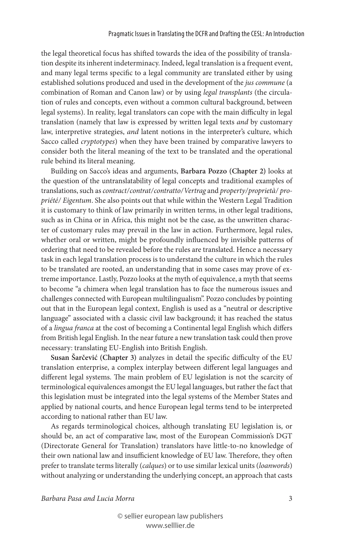the legal theoretical focus has shifted towards the idea of the possibility of translation despite its inherent indeterminacy. Indeed, legal translation is a frequent event, and many legal terms specific to a legal community are translated either by using established solutions produced and used in the development of the *jus commune* (a combination of Roman and Canon law) or by using *legal transplants* (the circulation of rules and concepts, even without a common cultural background, between legal systems). In reality, legal translators can cope with the main difficulty in legal translation (namely that law is expressed by written legal texts *and* by customary law, interpretive strategies, *and* latent notions in the interpreter's culture, which Sacco called *cryptotypes*) when they have been trained by comparative lawyers to consider both the literal meaning of the text to be translated and the operational rule behind its literal meaning.

Building on Sacco's ideas and arguments, **Barbara Pozzo (Chapter 2)** looks at the question of the untranslatability of legal concepts and traditional examples of translations, such as *contract / contrat / contratto / Vertrag* and *property / proprietà / propriété / Eigentum*. She also points out that while within the Western Legal Tradition it is customary to think of law primarily in written terms, in other legal traditions, such as in China or in Africa, this might not be the case, as the unwritten character of customary rules may prevail in the law in action. Furthermore, legal rules, whether oral or written, might be profoundly influenced by invisible patterns of ordering that need to be revealed before the rules are translated. Hence a necessary task in each legal translation process is to understand the culture in which the rules to be translated are rooted, an understanding that in some cases may prove of extreme importance. Lastly, Pozzo looks at the myth of equivalence, a myth that seems to become "a chimera when legal translation has to face the numerous issues and challenges connected with European multilingualism". Pozzo concludes by pointing out that in the European legal context, English is used as a "neutral or descriptive language" associated with a classic civil law background; it has reached the status of a *lingua franca* at the cost of becoming a Continental legal English which differs from British legal English. In the near future a new translation task could then prove necessary: translating EU-English into British English.

**Susan Šarčević (Chapter 3)** analyzes in detail the specific difficulty of the EU translation enterprise, a complex interplay between different legal languages and different legal systems. The main problem of EU legislation is not the scarcity of terminological equivalences amongst the EU legal languages, but rather the fact that this legislation must be integrated into the legal systems of the Member States and applied by national courts, and hence European legal terms tend to be interpreted according to national rather than EU law.

As regards terminological choices, although translating EU legislation is, or should be, an act of comparative law, most of the European Commission's DGT (Directorate General for Translation) translators have little-to-no knowledge of their own national law and insufficient knowledge of EU law. Therefore, they often prefer to translate terms literally (*calques*) or to use similar lexical units (*loanwords*) without analyzing or understanding the underlying concept, an approach that casts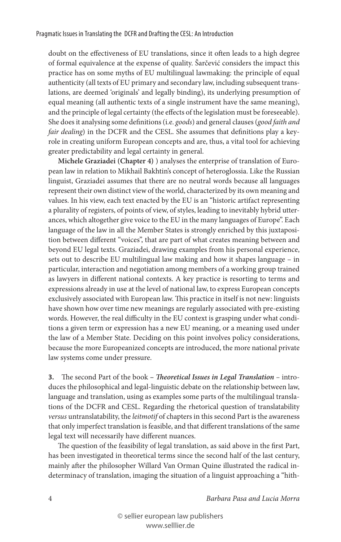doubt on the effectiveness of EU translations, since it often leads to a high degree of formal equivalence at the expense of quality. Šarčević considers the impact this practice has on some myths of EU multilingual lawmaking: the principle of equal authenticity (all texts of EU primary and secondary law, including subsequent translations, are deemed 'originals' and legally binding), its underlying presumption of equal meaning (all authentic texts of a single instrument have the same meaning), and the principle of legal certainty (the effects of the legislation must be foreseeable). She does it analysing some definitions (i.e. *goods*) and general clauses (*good faith and fair dealing*) in the DCFR and the CESL. She assumes that definitions play a keyrole in creating uniform European concepts and are, thus, a vital tool for achieving greater predictability and legal certainty in general.

**Michele Graziadei (Chapter 4)** ) analyses the enterprise of translation of European law in relation to Mikhail Bakhtin's concept of heteroglossia. Like the Russian linguist, Graziadei assumes that there are no neutral words because all languages represent their own distinct view of the world, characterized by its own meaning and values. In his view, each text enacted by the EU is an "historic artifact representing a plurality of registers, of points of view, of styles, leading to inevitably hybrid utterances, which altogether give voice to the EU in the many languages of Europe". Each language of the law in all the Member States is strongly enriched by this juxtaposition between different "voices", that are part of what creates meaning between and beyond EU legal texts. Graziadei, drawing examples from his personal experience, sets out to describe EU multilingual law making and how it shapes language – in particular, interaction and negotiation among members of a working group trained as lawyers in different national contexts. A key practice is resorting to terms and expressions already in use at the level of national law, to express European concepts exclusively associated with European law. This practice in itself is not new: linguists have shown how over time new meanings are regularly associated with pre-existing words. However, the real difficulty in the EU context is grasping under what conditions a given term or expression has a new EU meaning, or a meaning used under the law of a Member State. Deciding on this point involves policy considerations, because the more Europeanized concepts are introduced, the more national private law systems come under pressure.

**3.** The second Part of the book - *Theoretical Issues in Legal Translation* - introduces the philosophical and legal-linguistic debate on the relationship between law, language and translation, using as examples some parts of the multilingual translations of the DCFR and CESL. Regarding the rhetorical question of translatability *versus* untranslatability, the *leitmotif* of chapters in this second Part is the awareness that only imperfect translation is feasible, and that different translations of the same legal text will necessarily have different nuances.

The question of the feasibility of legal translation, as said above in the first Part, has been investigated in theoretical terms since the second half of the last century, mainly after the philosopher Willard Van Orman Quine illustrated the radical indeterminacy of translation, imaging the situation of a linguist approaching a "hith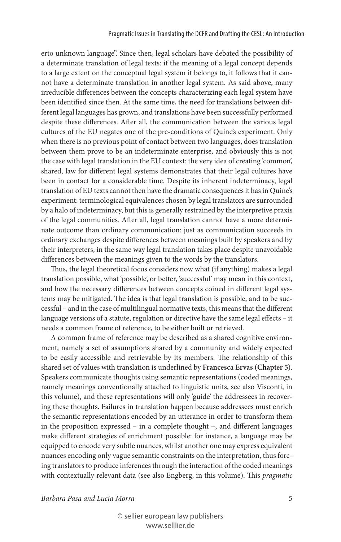erto unknown language". Since then, legal scholars have debated the possibility of a determinate translation of legal texts: if the meaning of a legal concept depends to a large extent on the conceptual legal system it belongs to, it follows that it cannot have a determinate translation in another legal system. As said above, many irreducible differences between the concepts characterizing each legal system have been identified since then. At the same time, the need for translations between different legal languages has grown, and translations have been successfully performed despite these differences. After all, the communication between the various legal cultures of the EU negates one of the pre-conditions of Quine's experiment. Only when there is no previous point of contact between two languages, does translation between them prove to be an indeterminate enterprise, and obviously this is not the case with legal translation in the EU context: the very idea of creating 'common', shared, law for different legal systems demonstrates that their legal cultures have been in contact for a considerable time. Despite its inherent indeterminacy, legal translation of EU texts cannot then have the dramatic consequences it has in Quine's experiment: terminological equivalences chosen by legal translators are surrounded by a halo of indeterminacy, but this is generally restrained by the interpretive praxis of the legal communities. After all, legal translation cannot have a more determinate outcome than ordinary communication: just as communication succeeds in ordinary exchanges despite differences between meanings built by speakers and by their interpreters, in the same way legal translation takes place despite unavoidable differences between the meanings given to the words by the translators.

Thus, the legal theoretical focus considers now what (if anything) makes a legal translation possible, what 'possible', or better, 'successful' may mean in this context, and how the necessary differences between concepts coined in different legal systems may be mitigated. The idea is that legal translation is possible, and to be successful – and in the case of multilingual normative texts, this means that the different language versions of a statute, regulation or directive have the same legal effects - it needs a common frame of reference, to be either built or retrieved.

A common frame of reference may be described as a shared cognitive environment, namely a set of assumptions shared by a community and widely expected to be easily accessible and retrievable by its members. The relationship of this shared set of values with translation is underlined by **Francesca Ervas (Chapter 5**). Speakers communicate thoughts using semantic representations (coded meanings, namely meanings conventionally attached to linguistic units, see also Visconti, in this volume), and these representations will only 'guide' the addressees in recovering these thoughts. Failures in translation happen because addressees must enrich the semantic representations encoded by an utterance in order to transform them in the proposition expressed - in a complete thought -, and different languages make different strategies of enrichment possible: for instance, a language may be equipped to encode very subtle nuances, whilst another one may express equivalent nuances encoding only vague semantic constraints on the interpretation, thus forcing translators to produce inferences through the interaction of the coded meanings with contextually relevant data (see also Engberg, in this volume). This *pragmatic* 

*Barbara Pasa and Lucia Morra* 5